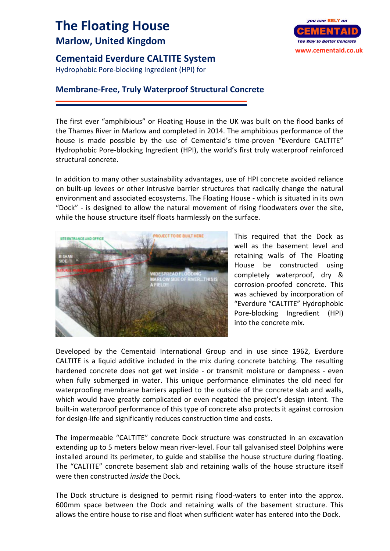## **The Floating House Marlow, United Kingdom**

## **Cementaid Everdure CALTITE System**

Hydrophobic Pore‐blocking Ingredient (HPI) for

## **Membrane‐Free, Truly Waterproof Structural Concrete**

The first ever "amphibious" or Floating House in the UK was built on the flood banks of the Thames River in Marlow and completed in 2014. The amphibious performance of the house is made possible by the use of Cementaid's time-proven "Everdure CALTITE" Hydrophobic Pore‐blocking Ingredient (HPI), the world's first truly waterproof reinforced structural concrete.

In addition to many other sustainability advantages, use of HPI concrete avoided reliance on built‐up levees or other intrusive barrier structures that radically change the natural environment and associated ecosystems. The Floating House ‐ which is situated in its own "Dock" ‐ is designed to allow the natural movement of rising floodwaters over the site, while the house structure itself floats harmlessly on the surface.



This required that the Dock as well as the basement level and retaining walls of The Floating House be constructed using completely waterproof, dry & corrosion‐proofed concrete. This was achieved by incorporation of "Everdure "CALTITE" Hydrophobic Pore‐blocking Ingredient (HPI) into the concrete mix.

Developed by the Cementaid International Group and in use since 1962, Everdure CALTITE is a liquid additive included in the mix during concrete batching. The resulting hardened concrete does not get wet inside - or transmit moisture or dampness - even when fully submerged in water. This unique performance eliminates the old need for waterproofing membrane barriers applied to the outside of the concrete slab and walls, which would have greatly complicated or even negated the project's design intent. The built-in waterproof performance of this type of concrete also protects it against corrosion for design‐life and significantly reduces construction time and costs.

The impermeable "CALTITE" concrete Dock structure was constructed in an excavation extending up to 5 meters below mean river‐level. Four tall galvanised steel Dolphins were installed around its perimeter, to guide and stabilise the house structure during floating. The "CALTITE" concrete basement slab and retaining walls of the house structure itself were then constructed *inside* the Dock.

The Dock structure is designed to permit rising flood-waters to enter into the approx. 600mm space between the Dock and retaining walls of the basement structure. This allows the entire house to rise and float when sufficient water has entered into the Dock.

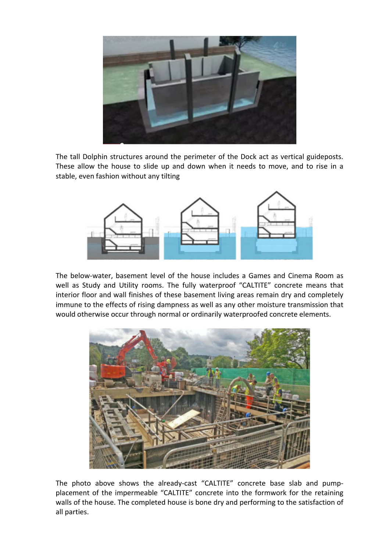

The tall Dolphin structures around the perimeter of the Dock act as vertical guideposts. These allow the house to slide up and down when it needs to move, and to rise in a stable, even fashion without any tilting



The below‐water, basement level of the house includes a Games and Cinema Room as well as Study and Utility rooms. The fully waterproof "CALTITE" concrete means that interior floor and wall finishes of these basement living areas remain dry and completely immune to the effects of rising dampness as well as any other moisture transmission that would otherwise occur through normal or ordinarily waterproofed concrete elements.



The photo above shows the already-cast "CALTITE" concrete base slab and pumpplacement of the impermeable "CALTITE" concrete into the formwork for the retaining walls of the house. The completed house is bone dry and performing to the satisfaction of all parties.